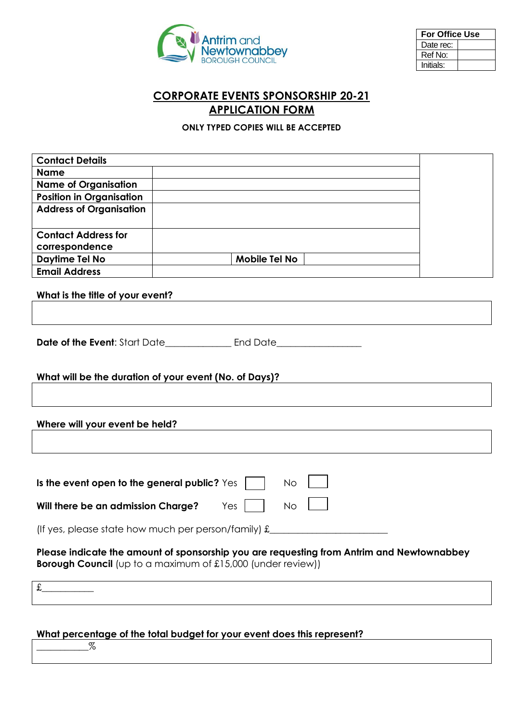

| <b>For Office Use</b> |  |  |
|-----------------------|--|--|
| Date rec:             |  |  |
| Ref No:               |  |  |
| Initials:             |  |  |

# **CORPORATE EVENTS SPONSORSHIP 20-21 APPLICATION FORM**

## **ONLY TYPED COPIES WILL BE ACCEPTED**

| <b>Contact Details</b>                                                                    |                                                                         |  |  |  |
|-------------------------------------------------------------------------------------------|-------------------------------------------------------------------------|--|--|--|
| <b>Name</b>                                                                               |                                                                         |  |  |  |
| <b>Name of Organisation</b>                                                               |                                                                         |  |  |  |
| <b>Position in Organisation</b>                                                           |                                                                         |  |  |  |
| <b>Address of Organisation</b>                                                            |                                                                         |  |  |  |
|                                                                                           |                                                                         |  |  |  |
| <b>Contact Address for</b>                                                                |                                                                         |  |  |  |
| correspondence                                                                            |                                                                         |  |  |  |
| Daytime Tel No<br><b>Email Address</b>                                                    | Mobile Tel No                                                           |  |  |  |
|                                                                                           |                                                                         |  |  |  |
| What is the title of your event?                                                          |                                                                         |  |  |  |
|                                                                                           |                                                                         |  |  |  |
|                                                                                           |                                                                         |  |  |  |
|                                                                                           |                                                                         |  |  |  |
|                                                                                           |                                                                         |  |  |  |
|                                                                                           |                                                                         |  |  |  |
|                                                                                           | What will be the duration of your event (No. of Days)?                  |  |  |  |
|                                                                                           |                                                                         |  |  |  |
|                                                                                           |                                                                         |  |  |  |
| Where will your event be held?                                                            |                                                                         |  |  |  |
|                                                                                           |                                                                         |  |  |  |
|                                                                                           |                                                                         |  |  |  |
|                                                                                           |                                                                         |  |  |  |
| Is the event open to the general public? Yes                                              | <b>No</b>                                                               |  |  |  |
|                                                                                           |                                                                         |  |  |  |
| Will there be an admission Charge?<br><b>No</b><br>Yes                                    |                                                                         |  |  |  |
|                                                                                           |                                                                         |  |  |  |
| (If yes, please state how much per person/family) $f(x)$                                  |                                                                         |  |  |  |
| Please indicate the amount of sponsorship you are requesting from Antrim and Newtownabbey |                                                                         |  |  |  |
| <b>Borough Council</b> (up to a maximum of £15,000 (under review))                        |                                                                         |  |  |  |
|                                                                                           |                                                                         |  |  |  |
| £                                                                                         |                                                                         |  |  |  |
|                                                                                           |                                                                         |  |  |  |
|                                                                                           |                                                                         |  |  |  |
|                                                                                           | What percentage of the total budget for your event does this represent? |  |  |  |

 $% \mathcal{Z}_{\mathrm{C}}\!\left( \mathcal{Z}_{\mathrm{C}}\right) =% \mathcal{Z}_{\mathrm{C}}\!\left( \mathcal{Z}_{\mathrm{C}}\right)$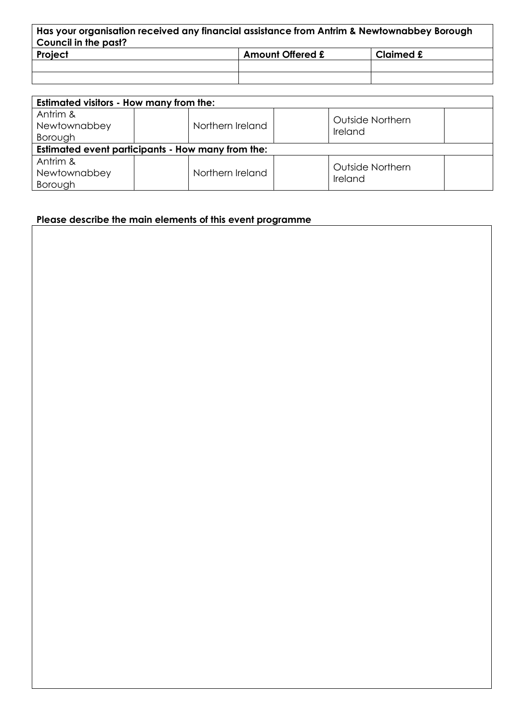| Has your organisation received any financial assistance from Antrim & Newtownabbey Borough<br>Council in the past? |  |  |  |  |
|--------------------------------------------------------------------------------------------------------------------|--|--|--|--|
| Project<br><b>Amount Offered £</b><br>Claimed £                                                                    |  |  |  |  |
|                                                                                                                    |  |  |  |  |
|                                                                                                                    |  |  |  |  |

| <b>Estimated visitors - How many from the:</b>    |                  |                  |  |  |
|---------------------------------------------------|------------------|------------------|--|--|
| Antrim &                                          |                  | Outside Northern |  |  |
| Newtownabbey                                      | Northern Ireland | Ireland          |  |  |
| Borough                                           |                  |                  |  |  |
| Estimated event participants - How many from the: |                  |                  |  |  |
| Antrim &                                          |                  |                  |  |  |
| Newtownabbey                                      | Northern Ireland | Outside Northern |  |  |
| Borough                                           |                  | Ireland          |  |  |

**Please describe the main elements of this event programme**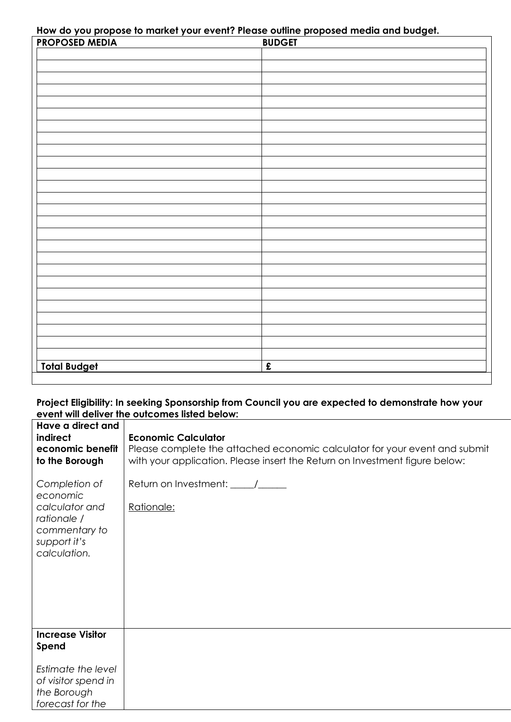**How do you propose to market your event? Please outline proposed media and budget.**

| <b>PROPOSED MEDIA</b> | <b>BUDGET</b>        |
|-----------------------|----------------------|
|                       |                      |
|                       |                      |
|                       |                      |
|                       |                      |
|                       |                      |
|                       |                      |
|                       |                      |
|                       |                      |
|                       |                      |
|                       |                      |
|                       |                      |
|                       |                      |
|                       |                      |
|                       |                      |
|                       |                      |
|                       |                      |
|                       |                      |
|                       |                      |
|                       |                      |
|                       |                      |
|                       |                      |
|                       |                      |
|                       |                      |
|                       |                      |
|                       |                      |
|                       |                      |
|                       |                      |
|                       |                      |
|                       |                      |
|                       |                      |
| <b>Total Budget</b>   | $\pmb{\hat{\Sigma}}$ |

## **Project Eligibility: In seeking Sponsorship from Council you are expected to demonstrate how your event will deliver the outcomes listed below:**

| Have a direct and<br>indirect<br>economic benefit<br>to the Borough                                         | <b>Economic Calculator</b><br>Please complete the attached economic calculator for your event and submit<br>with your application. Please insert the Return on Investment figure below: |
|-------------------------------------------------------------------------------------------------------------|-----------------------------------------------------------------------------------------------------------------------------------------------------------------------------------------|
| Completion of<br>economic<br>calculator and<br>rationale /<br>commentary to<br>support it's<br>calculation. | Return on Investment: _____/_____<br>Rationale:                                                                                                                                         |
| <b>Increase Visitor</b><br>Spend                                                                            |                                                                                                                                                                                         |
| Estimate the level<br>of visitor spend in<br>the Borough<br>forecast for the                                |                                                                                                                                                                                         |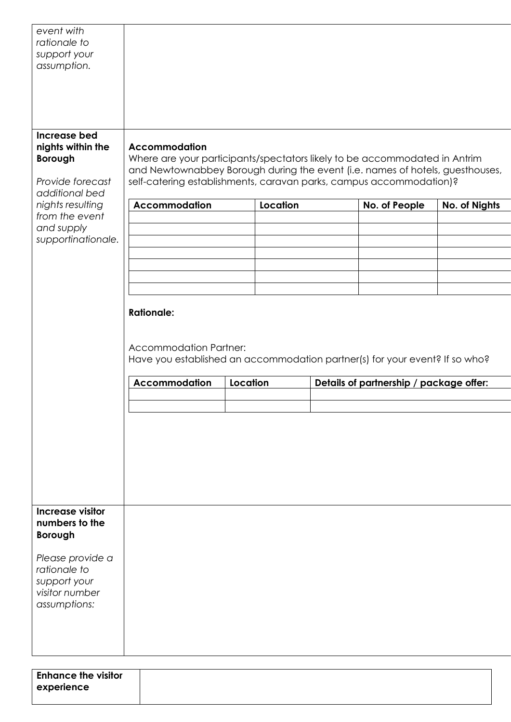| event with<br>rationale to<br>support your<br>assumption.                                                                                                           |                                                                            |          |                                                                                                                                                                                                                                                     |               |
|---------------------------------------------------------------------------------------------------------------------------------------------------------------------|----------------------------------------------------------------------------|----------|-----------------------------------------------------------------------------------------------------------------------------------------------------------------------------------------------------------------------------------------------------|---------------|
| Increase bed<br>nights within the<br><b>Borough</b><br>Provide forecast<br>additional bed<br>nights resulting<br>from the event<br>and supply<br>supportinationale. | <b>Accommodation</b><br>Accommodation                                      | Location | Where are your participants/spectators likely to be accommodated in Antrim<br>and Newtownabbey Borough during the event (i.e. names of hotels, guesthouses,<br>self-catering establishments, caravan parks, campus accommodation)?<br>No. of People | No. of Nights |
|                                                                                                                                                                     | <b>Rationale:</b><br><b>Accommodation Partner:</b><br><b>Accommodation</b> | Location | Have you established an accommodation partner(s) for your event? If so who?<br>Details of partnership / package offer:                                                                                                                              |               |
| Increase visitor                                                                                                                                                    |                                                                            |          |                                                                                                                                                                                                                                                     |               |
| numbers to the<br><b>Borough</b><br>Please provide a<br>rationale to<br>support your<br>visitor number<br>assumptions:                                              |                                                                            |          |                                                                                                                                                                                                                                                     |               |
| <b>Enhance the visitor</b><br>experience                                                                                                                            |                                                                            |          |                                                                                                                                                                                                                                                     |               |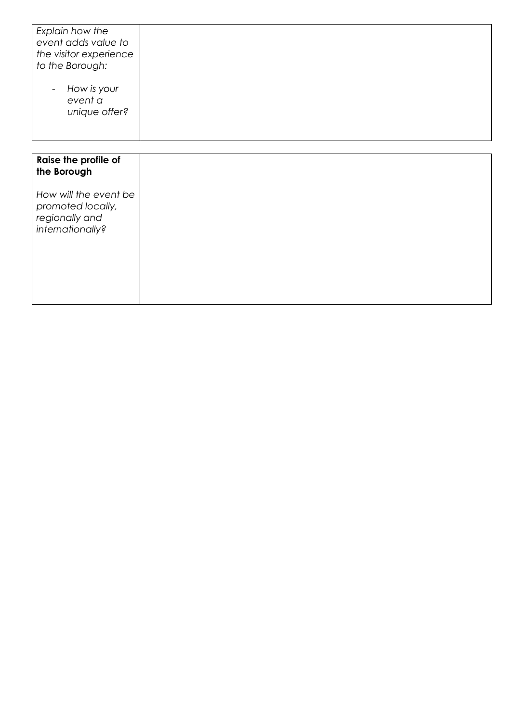| Explain how the<br>event adds value to<br>the visitor experience<br>to the Borough:<br>How is your<br>$\overline{\phantom{a}}$<br>event a<br>unique offer? |  |
|------------------------------------------------------------------------------------------------------------------------------------------------------------|--|
| Raise the profile of                                                                                                                                       |  |
| the Borough                                                                                                                                                |  |
| How will the event be<br>promoted locally,<br>regionally and<br>internationally?                                                                           |  |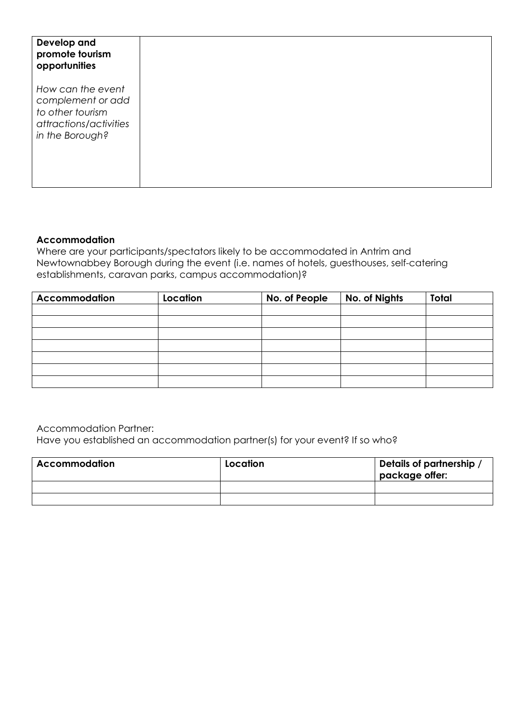| Develop and<br>promote tourism<br>opportunities                                                         |
|---------------------------------------------------------------------------------------------------------|
| How can the event<br>complement or add<br>to other tourism<br>attractions/activities<br>in the Borough? |
|                                                                                                         |

# **Accommodation**

Where are your participants/spectators likely to be accommodated in Antrim and Newtownabbey Borough during the event (i.e. names of hotels, guesthouses, self-catering establishments, caravan parks, campus accommodation)?

| <b>Accommodation</b> | Location | No. of People | No. of Nights | <b>Total</b> |
|----------------------|----------|---------------|---------------|--------------|
|                      |          |               |               |              |
|                      |          |               |               |              |
|                      |          |               |               |              |
|                      |          |               |               |              |
|                      |          |               |               |              |
|                      |          |               |               |              |
|                      |          |               |               |              |

Accommodation Partner:

Have you established an accommodation partner(s) for your event? If so who?

| <b>Accommodation</b> | Location | Details of partnership /<br>package offer: |
|----------------------|----------|--------------------------------------------|
|                      |          |                                            |
|                      |          |                                            |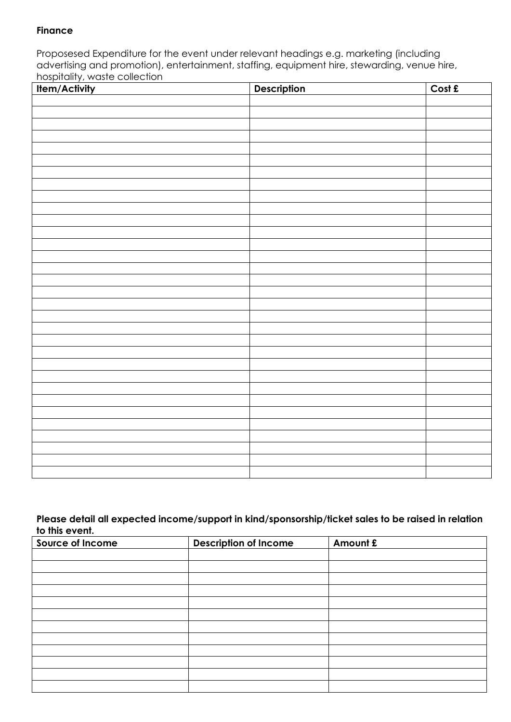# **Finance**

Proposesed Expenditure for the event under relevant headings e.g. marketing (including advertising and promotion), entertainment, staffing, equipment hire, stewarding, venue hire, hospitality, waste collection

| Item/Activity | Description | Cost £ |
|---------------|-------------|--------|
|               |             |        |
|               |             |        |
|               |             |        |
|               |             |        |
|               |             |        |
|               |             |        |
|               |             |        |
|               |             |        |
|               |             |        |
|               |             |        |
|               |             |        |
|               |             |        |
|               |             |        |
|               |             |        |
|               |             |        |
|               |             |        |
|               |             |        |
|               |             |        |
|               |             |        |
|               |             |        |
|               |             |        |
|               |             |        |
|               |             |        |
|               |             |        |
|               |             |        |
|               |             |        |
|               |             |        |
|               |             |        |
|               |             |        |
|               |             |        |
|               |             |        |
|               |             |        |

### **Please detail all expected income/support in kind/sponsorship/ticket sales to be raised in relation to this event.**

| Source of Income | <b>Description of Income</b> | Amount £ |
|------------------|------------------------------|----------|
|                  |                              |          |
|                  |                              |          |
|                  |                              |          |
|                  |                              |          |
|                  |                              |          |
|                  |                              |          |
|                  |                              |          |
|                  |                              |          |
|                  |                              |          |
|                  |                              |          |
|                  |                              |          |
|                  |                              |          |